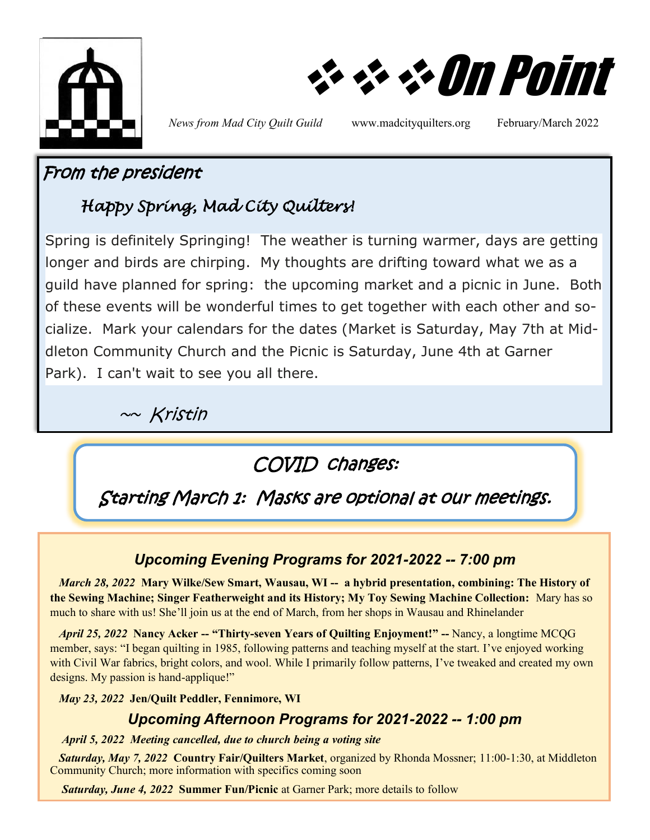

❖❖❖On Point

*News from Mad City Quilt Guild* www.madcityquilters.org February/March 2022

### From the president

# *Happy Spring, Mad City Quilters!*

Spring is definitely Springing! The weather is turning warmer, days are getting longer and birds are chirping. My thoughts are drifting toward what we as a guild have planned for spring: the upcoming market and a picnic in June. Both of these events will be wonderful times to get together with each other and socialize. Mark your calendars for the dates (Market is Saturday, May 7th at Middleton Community Church and the Picnic is Saturday, June 4th at Garner Park). I can't wait to see you all there.

 $~\sim~$ Kristin

# COVID changes:

Starting March 1: Masks are optional at our meetings.

### *Upcoming Evening Programs for 2021-2022 -- 7:00 pm*

 *March 28, 2022* **Mary Wilke/Sew Smart, Wausau, WI -- a hybrid presentation, combining: The History of the Sewing Machine; Singer Featherweight and its History; My Toy Sewing Machine Collection:** Mary has so much to share with us! She'll join us at the end of March, from her shops in Wausau and Rhinelander

 *April 25, 2022* **Nancy Acker -- "Thirty-seven Years of Quilting Enjoyment!" --** Nancy, a longtime MCQG member, says: "I began quilting in 1985, following patterns and teaching myself at the start. I've enjoyed working with Civil War fabrics, bright colors, and wool. While I primarily follow patterns, I've tweaked and created my own designs. My passion is hand-applique!"

 *May 23, 2022* **Jen/Quilt Peddler, Fennimore, WI** 

### *Upcoming Afternoon Programs for 2021-2022 -- 1:00 pm*

*April 5, 2022**Meeting cancelled, due to church being a voting site*

*Saturday, May 7, 2022* **Country Fair/Quilters Market**, organized by Rhonda Mossner; 11:00-1:30, at Middleton Community Church; more information with specifics coming soon

*Saturday, June 4, 2022* **Summer Fun/Picnic** at Garner Park; more details to follow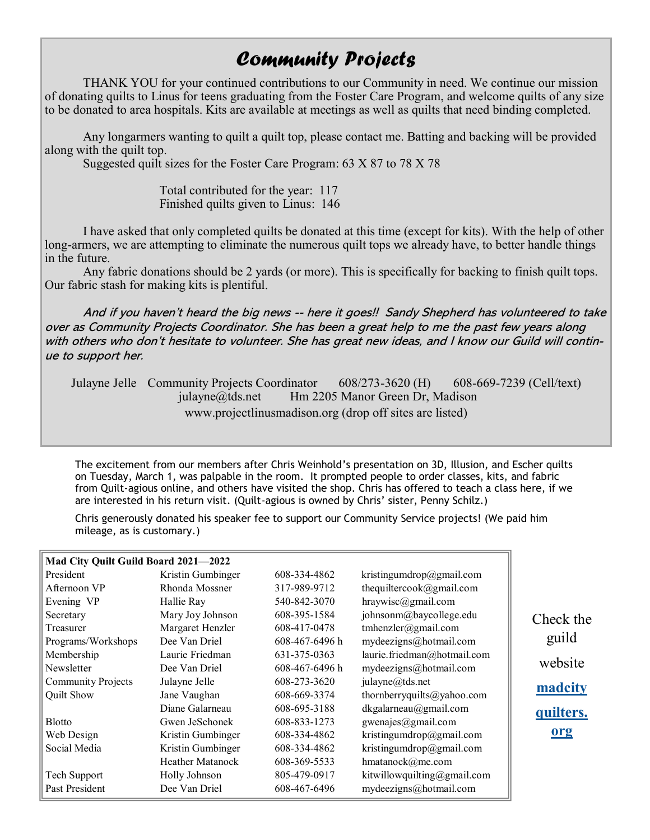## *Community Projects*

THANK YOU for your continued contributions to our Community in need. We continue our mission of donating quilts to Linus for teens graduating from the Foster Care Program, and welcome quilts of any size to be donated to area hospitals. Kits are available at meetings as well as quilts that need binding completed.

Any longarmers wanting to quilt a quilt top, please contact me. Batting and backing will be provided along with the quilt top.

Suggested quilt sizes for the Foster Care Program: 63 X 87 to 78 X 78

Total contributed for the year: 117 Finished quilts given to Linus: 146

I have asked that only completed quilts be donated at this time (except for kits). With the help of other long-armers, we are attempting to eliminate the numerous quilt tops we already have, to better handle things in the future.

Any fabric donations should be 2 yards (or more). This is specifically for backing to finish quilt tops. Our fabric stash for making kits is plentiful.

And if you haven't heard the big news -- here it goes!! Sandy Shepherd has volunteered to take over as Community Projects Coordinator. She has been a great help to me the past few years along with others who don't hesitate to volunteer. She has great new ideas, and I know our Guild will continue to support her.

Julayne Jelle Community Projects Coordinator 608/273-3620 (H) 608-669-7239 (Cell/text) julayne@tds.net Hm 2205 Manor Green Dr, Madison www.projectlinusmadison.org (drop off sites are listed)

The excitement from our members after Chris Weinhold's presentation on 3D, Illusion, and Escher quilts on Tuesday, March 1, was palpable in the room. It prompted people to order classes, kits, and fabric from Quilt-agious online, and others have visited the shop. Chris has offered to teach a class here, if we are interested in his return visit. (Quilt-agious is owned by Chris' sister, Penny Schilz.)

Chris generously donated his speaker fee to support our Community Service projects! (We paid him mileage, as is customary.)

| Mad City Quilt Guild Board 2021-2022 |                         |                |                             |
|--------------------------------------|-------------------------|----------------|-----------------------------|
| President                            | Kristin Gumbinger       | 608-334-4862   | kristingumdrop@gmail.com    |
| Afternoon VP                         | Rhonda Mossner          | 317-989-9712   | thequiltercook@gmail.com    |
| Evening VP                           | Hallie Ray              | 540-842-3070   | $hraywise$ @gmail.com       |
| Secretary                            | Mary Joy Johnson        | 608-395-1584   | johnsonm@baycollege.edu     |
| Treasurer                            | Margaret Henzler        | 608-417-0478   | tmhenzler@gmail.com         |
| Programs/Workshops                   | Dee Van Driel           | 608-467-6496 h | mydeezigns@hotmail.com      |
| Membership                           | Laurie Friedman         | 631-375-0363   | laurie.friedman@hotmail.com |
| Newsletter                           | Dee Van Driel           | 608-467-6496 h | mydeezigns@hotmail.com      |
| <b>Community Projects</b>            | Julayne Jelle           | 608-273-3620   | julayne@tds.net             |
| Quilt Show                           | Jane Vaughan            | 608-669-3374   | thornberryquilts@yahoo.com  |
|                                      | Diane Galarneau         | 608-695-3188   | dkgalarneau@gmail.com       |
| <b>Blotto</b>                        | Gwen JeSchonek          | 608-833-1273   | gwenajes@gmail.com          |
| Web Design                           | Kristin Gumbinger       | 608-334-4862   | kristingumdrop@gmail.com    |
| Social Media                         | Kristin Gumbinger       | 608-334-4862   | kristingumdrop@gmail.com    |
|                                      | <b>Heather Matanock</b> | 608-369-5533   | hmatanock@me.com            |
| Tech Support                         | Holly Johnson           | 805-479-0917   | kitwillowquilting@gmail.com |
| Past President                       | Dee Van Driel           | 608-467-6496   | mydeezigns@hotmail.com      |

Check the guild website **[madcity](#page-2-0) [quilters.](#page-2-0) [org](#page-2-0)**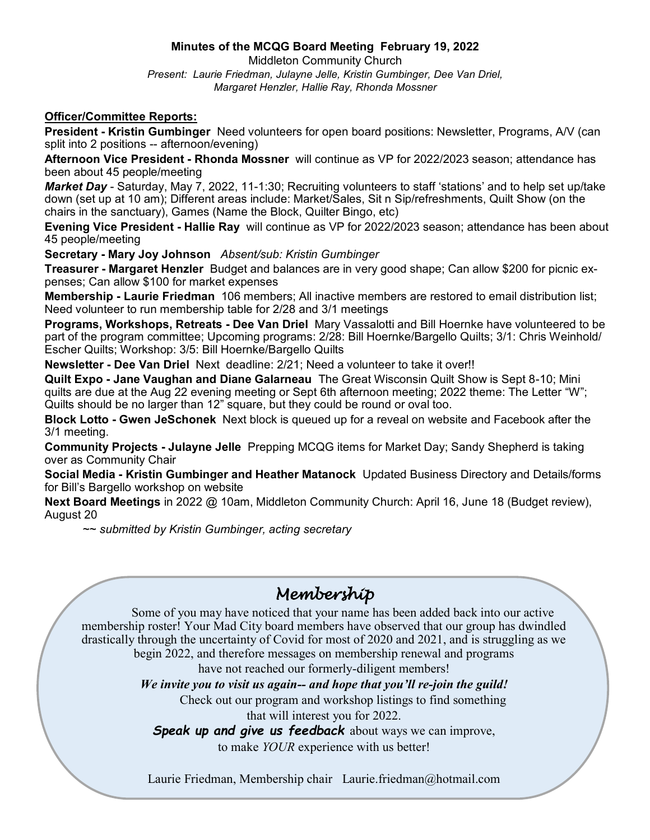#### **Minutes of the MCQG Board Meeting February 19, 2022**

Middleton Community Church *Present: Laurie Friedman, Julayne Jelle, Kristin Gumbinger, Dee Van Driel, Margaret Henzler, Hallie Ray, Rhonda Mossner*

#### <span id="page-2-0"></span>**Officer/Committee Reports:**

**President - Kristin Gumbinger** Need volunteers for open board positions: Newsletter, Programs, A/V (can split into 2 positions -- afternoon/evening)

**Afternoon Vice President - Rhonda Mossner** will continue as VP for 2022/2023 season; attendance has been about 45 people/meeting

*Market Day* - Saturday, May 7, 2022, 11-1:30; Recruiting volunteers to staff 'stations' and to help set up/take down (set up at 10 am); Different areas include: Market/Sales, Sit n Sip/refreshments, Quilt Show (on the chairs in the sanctuary), Games (Name the Block, Quilter Bingo, etc)

**Evening Vice President - Hallie Ray** will continue as VP for 2022/2023 season; attendance has been about 45 people/meeting

**Secretary - Mary Joy Johnson** *Absent/sub: Kristin Gumbinger*

**Treasurer - Margaret Henzler** Budget and balances are in very good shape; Can allow \$200 for picnic expenses; Can allow \$100 for market expenses

**Membership - Laurie Friedman** 106 members; All inactive members are restored to email distribution list; Need volunteer to run membership table for 2/28 and 3/1 meetings

**Programs, Workshops, Retreats - Dee Van Driel** Mary Vassalotti and Bill Hoernke have volunteered to be part of the program committee; Upcoming programs: 2/28: Bill Hoernke/Bargello Quilts; 3/1: Chris Weinhold/ Escher Quilts; Workshop: 3/5: Bill Hoernke/Bargello Quilts

**Newsletter - Dee Van Driel** Next deadline: 2/21; Need a volunteer to take it over!!

**Quilt Expo - Jane Vaughan and Diane Galarneau** The Great Wisconsin Quilt Show is Sept 8-10; Mini quilts are due at the Aug 22 evening meeting or Sept 6th afternoon meeting; 2022 theme: The Letter "W"; Quilts should be no larger than 12" square, but they could be round or oval too.

**Block Lotto - Gwen JeSchonek** Next block is queued up for a reveal on website and Facebook after the 3/1 meeting.

**Community Projects - Julayne Jelle** Prepping MCQG items for Market Day; Sandy Shepherd is taking over as Community Chair

**Social Media - Kristin Gumbinger and Heather Matanock** Updated Business Directory and Details/forms for Bill's Bargello workshop on website

**Next Board Meetings** in 2022 @ 10am, Middleton Community Church: April 16, June 18 (Budget review), August 20

~~ *submitted by Kristin Gumbinger, acting secretary*

## *Membership*

Some of you may have noticed that your name has been added back into our active membership roster! Your Mad City board members have observed that our group has dwindled drastically through the uncertainty of Covid for most of 2020 and 2021, and is struggling as we begin 2022, and therefore messages on membership renewal and programs have not reached our formerly-diligent members!

*We invite you to visit us again-- and hope that you'll re-join the guild!*

Check out our program and workshop listings to find something

that will interest you for 2022.

*Speak up and give us feedback* about ways we can improve,

to make *YOUR* experience with us better!

Laurie Friedman, Membership chair Laurie.friedman@hotmail.com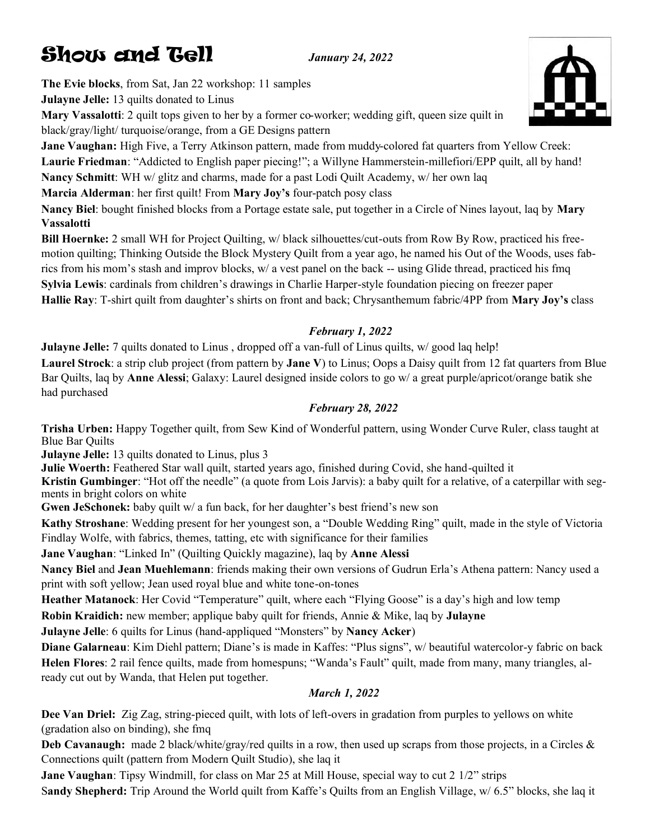# **Show and Gell** *January 24, 2022*

**The Evie blocks**, from Sat, Jan 22 workshop: 11 samples

**Julayne Jelle:** 13 quilts donated to Linus **Mary Vassalotti**: 2 quilt tops given to her by a former co-worker; wedding gift, queen size quilt in black/gray/light/ turquoise/orange, from a GE Designs pattern

**Jane Vaughan:** High Five, a Terry Atkinson pattern, made from muddy-colored fat quarters from Yellow Creek: **Laurie Friedman**: "Addicted to English paper piecing!"; a Willyne Hammerstein-millefiori/EPP quilt, all by hand! **Nancy Schmitt**: WH w/ glitz and charms, made for a past Lodi Quilt Academy, w/ her own laq **Marcia Alderman**: her first quilt! From **Mary Joy's** four-patch posy class

**Nancy Biel**: bought finished blocks from a Portage estate sale, put together in a Circle of Nines layout, laq by **Mary Vassalotti**

**Bill Hoernke:** 2 small WH for Project Quilting, w/ black silhouettes/cut-outs from Row By Row, practiced his freemotion quilting; Thinking Outside the Block Mystery Quilt from a year ago, he named his Out of the Woods, uses fabrics from his mom's stash and improv blocks, w/ a vest panel on the back -- using Glide thread, practiced his fmq **Sylvia Lewis**: cardinals from children's drawings in Charlie Harper-style foundation piecing on freezer paper **Hallie Ray**: T-shirt quilt from daughter's shirts on front and back; Chrysanthemum fabric/4PP from **Mary Joy's** class

#### *February 1, 2022*

**Julayne Jelle:** 7 quilts donated to Linus, dropped off a van-full of Linus quilts, w/ good laq help! **Laurel Strock**: a strip club project (from pattern by **Jane V**) to Linus; Oops a Daisy quilt from 12 fat quarters from Blue Bar Quilts, laq by **Anne Alessi**; Galaxy: Laurel designed inside colors to go w/ a great purple/apricot/orange batik she had purchased

#### *February 28, 2022*

**Trisha Urben:** Happy Together quilt, from Sew Kind of Wonderful pattern, using Wonder Curve Ruler, class taught at Blue Bar Quilts

**Julayne Jelle:** 13 quilts donated to Linus, plus 3

**Julie Woerth:** Feathered Star wall quilt, started years ago, finished during Covid, she hand-quilted it

**Kristin Gumbinger**: "Hot off the needle" (a quote from Lois Jarvis): a baby quilt for a relative, of a caterpillar with segments in bright colors on white

**Gwen JeSchonek:** baby quilt w/ a fun back, for her daughter's best friend's new son

**Kathy Stroshane**: Wedding present for her youngest son, a "Double Wedding Ring" quilt, made in the style of Victoria Findlay Wolfe, with fabrics, themes, tatting, etc with significance for their families

**Jane Vaughan**: "Linked In" (Quilting Quickly magazine), laq by **Anne Alessi**

**Nancy Biel** and **Jean Muehlemann**: friends making their own versions of Gudrun Erla's Athena pattern: Nancy used a print with soft yellow; Jean used royal blue and white tone-on-tones

**Heather Matanock**: Her Covid "Temperature" quilt, where each "Flying Goose" is a day's high and low temp

**Robin Kraidich:** new member; applique baby quilt for friends, Annie & Mike, laq by **Julayne**

**Julayne Jelle**: 6 quilts for Linus (hand-appliqued "Monsters" by **Nancy Acker**)

**Diane Galarneau**: Kim Diehl pattern; Diane's is made in Kaffes: "Plus signs", w/ beautiful watercolor-y fabric on back **Helen Flores**: 2 rail fence quilts, made from homespuns; "Wanda's Fault" quilt, made from many, many triangles, already cut out by Wanda, that Helen put together.

#### *March 1, 2022*

**Dee Van Driel:** Zig Zag, string-pieced quilt, with lots of left-overs in gradation from purples to yellows on white (gradation also on binding), she fmq

**Deb Cavanaugh:** made 2 black/white/gray/red quilts in a row, then used up scraps from those projects, in a Circles & Connections quilt (pattern from Modern Quilt Studio), she laq it

**Jane Vaughan**: Tipsy Windmill, for class on Mar 25 at Mill House, special way to cut 2 1/2" strips S**andy Shepherd:** Trip Around the World quilt from Kaffe's Quilts from an English Village, w/ 6.5" blocks, she laq it